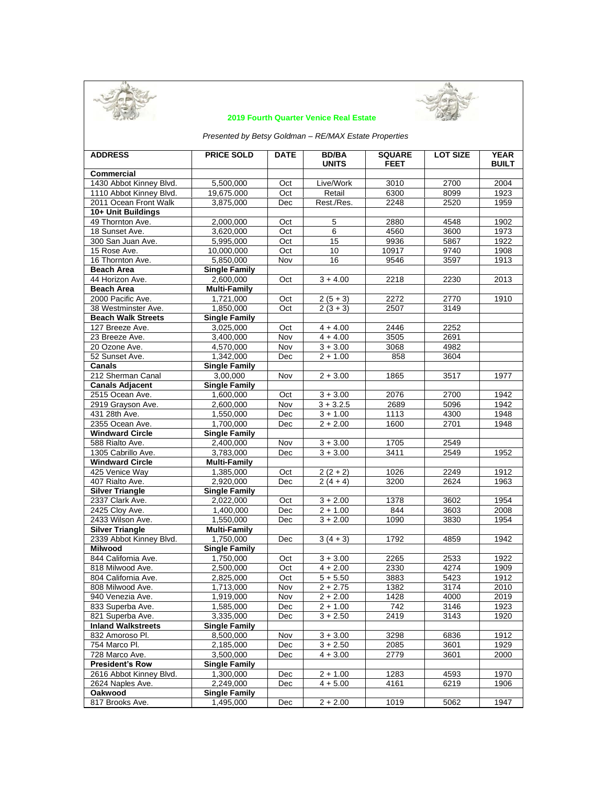



# **2019 Fourth Quarter Venice Real Estate**

*Presented by Betsy Goldman – RE/MAX Estate Properties*

| <b>ADDRESS</b>            | <b>PRICE SOLD</b>    | <b>DATE</b> | <b>BD/BA</b><br><b>UNITS</b> | <b>SQUARE</b><br><b>FEET</b> | <b>LOT SIZE</b> | <b>YEAR</b><br><b>BUILT</b> |
|---------------------------|----------------------|-------------|------------------------------|------------------------------|-----------------|-----------------------------|
| <b>Commercial</b>         |                      |             |                              |                              |                 |                             |
| 1430 Abbot Kinney Blvd.   | 5,500,000            | Oct         | Live/Work                    | 3010                         | 2700            | 2004                        |
| 1110 Abbot Kinney Blvd.   | 19,675.000           | Oct         | Retail                       | 6300                         | 8099            | 1923                        |
| 2011 Ocean Front Walk     | 3,875,000            | Dec         | Rest./Res.                   | 2248                         | 2520            | 1959                        |
| 10+ Unit Buildings        |                      |             |                              |                              |                 |                             |
| 49 Thornton Ave.          | 2,000,000            | Oct         | $\overline{5}$               | 2880                         | 4548            | 1902                        |
| 18 Sunset Ave.            | 3,620,000            | Oct         | $\overline{6}$               | 4560                         | 3600            | 1973                        |
| 300 San Juan Ave.         | 5,995,000            | Oct         | 15                           | 9936                         | 5867            | 1922                        |
| 15 Rose Ave.              | 10,000,000           | Oct         | 10                           | 10917                        | 9740            | 1908                        |
| 16 Thornton Ave.          | 5,850,000            | Nov         | 16                           | 9546                         | 3597            | 1913                        |
| <b>Beach Area</b>         | <b>Single Family</b> |             |                              |                              |                 |                             |
| 44 Horizon Ave.           | 2.600.000            | Oct         | $3 + 4.00$                   | 2218                         | 2230            | 2013                        |
| <b>Beach Area</b>         | <b>Multi-Family</b>  |             |                              |                              |                 |                             |
| 2000 Pacific Ave.         | 1,721,000            | Oct         | $2(5+3)$                     | 2272                         | 2770            | 1910                        |
| 38 Westminster Ave.       | 1,850,000            | Oct         | $2(3+3)$                     | 2507                         | 3149            |                             |
| <b>Beach Walk Streets</b> | <b>Single Family</b> |             |                              |                              |                 |                             |
| 127 Breeze Ave.           | 3,025,000            | Oct         | $4 + 4.00$                   | 2446                         | 2252            |                             |
| 23 Breeze Ave.            | 3,400,000            | Nov         | $4 + 4.00$                   | 3505                         | 2691            |                             |
| 20 Ozone Ave.             | 4,570,000            | Nov         | $3 + 3.00$                   | 3068                         | 4982            |                             |
| 52 Sunset Ave.            | 1.342.000            | Dec         | $2 + 1.00$                   | 858                          | 3604            |                             |
| <b>Canals</b>             | <b>Single Family</b> |             |                              |                              |                 |                             |
| 212 Sherman Canal         | 3.00.000             | Nov         | $2 + 3.00$                   | 1865                         | 3517            | 1977                        |
| <b>Canals Adjacent</b>    | <b>Single Family</b> |             |                              |                              |                 |                             |
| 2515 Ocean Ave.           | 1,600,000            | Oct         | $3 + 3.00$                   | 2076                         | 2700            | 1942                        |
| 2919 Grayson Ave.         | 2,600,000            | Nov         | $3 + 3.2.5$                  | 2689                         | 5096            | 1942                        |
| 431 28th Ave.             | 1,550,000            | Dec         | $3 + 1.00$                   | 1113                         | 4300            | 1948                        |
| 2355 Ocean Ave.           | 1,700,000            | Dec         | $2 + 2.00$                   | 1600                         | 2701            | 1948                        |
| <b>Windward Circle</b>    | <b>Single Family</b> |             |                              |                              |                 |                             |
| 588 Rialto Ave.           | 2,400,000            | Nov         | $3 + 3.00$                   | 1705                         | 2549            |                             |
| 1305 Cabrillo Ave.        | 3,783,000            | Dec         | $3 + 3.00$                   | 3411                         | 2549            | 1952                        |
| <b>Windward Circle</b>    | <b>Multi-Family</b>  |             |                              |                              |                 |                             |
| 425 Venice Way            | 1,385,000            | Oct         | $2(2+2)$                     | 1026                         | 2249            | 1912                        |
| 407 Rialto Ave.           | 2,920,000            | Dec         | $2(4+4)$                     | 3200                         | 2624            | 1963                        |
| <b>Silver Triangle</b>    | <b>Single Family</b> |             |                              |                              |                 |                             |
| 2337 Clark Ave.           | 2,022,000            | Oct         | $3 + 2.00$                   | 1378                         | 3602            | 1954                        |
| 2425 Cloy Ave.            | 1,400,000            | Dec         | $2 + 1.00$                   | 844                          | 3603            | 2008                        |
| 2433 Wilson Ave.          | 1,550,000            | Dec         | $3 + 2.00$                   | 1090                         | 3830            | 1954                        |
| <b>Silver Triangle</b>    | <b>Multi-Family</b>  |             |                              |                              |                 |                             |
| 2339 Abbot Kinney Blvd.   | 1,750,000            | Dec         | $3(4+3)$                     | 1792                         | 4859            | 1942                        |
| <b>Milwood</b>            | <b>Single Family</b> |             |                              |                              |                 |                             |
| 844 California Ave.       | 1,750,000            | Oct         | $3 + 3.00$                   | 2265                         | 2533            | 1922                        |
| 818 Milwood Ave.          | 2,500,000            | Oct         | $4 + 2.00$                   | 2330                         | 4274            | 1909                        |
| 804 California Ave.       | 2,825,000            | Oct         | $5 + 5.50$                   | 3883                         | 5423            | 1912                        |
| 808 Milwood Ave.          | 1,713,000            | Nov         | $2 + 2.75$                   | 1382                         | 3174            | 2010                        |
| 940 Venezia Ave.          | 1,919,000            | Nov         | $2 + 2.00$                   | 1428                         | 4000            | 2019                        |
| 833 Superba Ave.          | 1,585,000            | Dec         | $2 + 1.00$                   | 742                          | 3146            | 1923                        |
| 821 Superba Ave.          | 3,335,000            | Dec         | $3 + 2.50$                   | 2419                         | 3143            | 1920                        |
| <b>Inland Walkstreets</b> | <b>Single Family</b> |             |                              |                              |                 |                             |
| 832 Amoroso Pl.           | 8,500,000            | Nov         | $3 + 3.00$                   | 3298                         | 6836            | 1912                        |
| 754 Marco Pl.             | 2,185,000            | Dec         | $3 + 2.50$                   | 2085                         | 3601            | 1929                        |
| 728 Marco Ave.            | 3,500,000            | Dec         | $4 + 3.00$                   | 2779                         | 3601            | 2000                        |
| <b>President's Row</b>    | <b>Single Family</b> |             |                              |                              |                 |                             |
| 2616 Abbot Kinney Blvd.   | 1,300,000            | Dec         | $2 + 1.00$                   | 1283                         | 4593            | 1970                        |
| 2624 Naples Ave.          | 2,249,000            | Dec         | $4 + 5.00$                   | 4161                         | 6219            | 1906                        |
| Oakwood                   | <b>Single Family</b> |             |                              |                              |                 |                             |
| 817 Brooks Ave.           | 1,495,000            | Dec         | $2 + 2.00$                   | 1019                         | 5062            | 1947                        |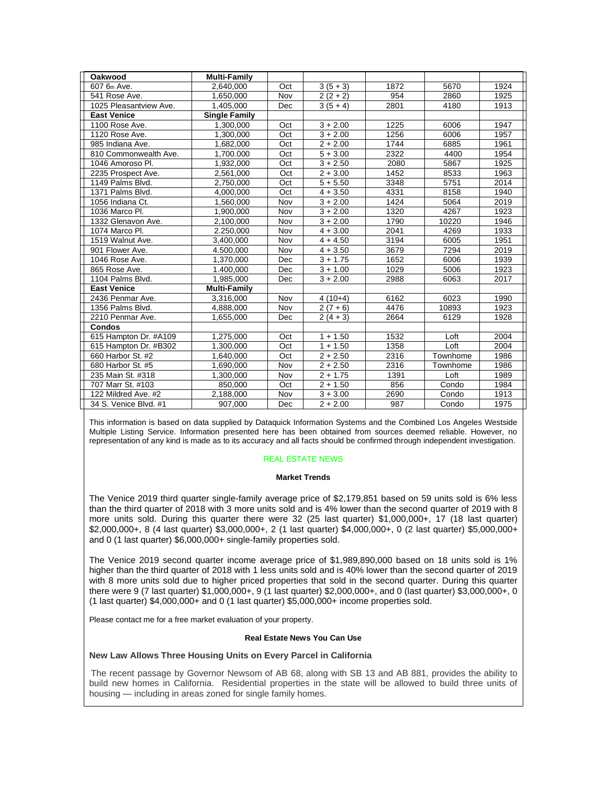| Oakwood                | <b>Multi-Family</b>  |            |            |      |          |      |
|------------------------|----------------------|------------|------------|------|----------|------|
| 607 6th Ave.           | 2.640.000            | Oct        | $3(5+3)$   | 1872 | 5670     | 1924 |
| 541 Rose Ave.          | 1,650,000            | Nov        | $2(2+2)$   | 954  | 2860     | 1925 |
| 1025 Pleasantview Ave. | 1,405,000            | <b>Dec</b> | $3(5 + 4)$ | 2801 | 4180     | 1913 |
| <b>East Venice</b>     | <b>Single Family</b> |            |            |      |          |      |
| 1100 Rose Ave.         | 1.300.000            | Oct        | $3 + 2.00$ | 1225 | 6006     | 1947 |
| 1120 Rose Ave.         | 1.300.000            | Oct        | $3 + 2.00$ | 1256 | 6006     | 1957 |
| 985 Indiana Ave.       | 1,682,000            | Oct        | $2 + 2.00$ | 1744 | 6885     | 1961 |
| 810 Commonwealth Ave.  | 1,700.000            | Oct        | $5 + 3.00$ | 2322 | 4400     | 1954 |
| 1046 Amoroso Pl.       | 1,932,000            | Oct        | $3 + 2.50$ | 2080 | 5867     | 1925 |
| 2235 Prospect Ave.     | 2,561,000            | Oct        | $2 + 3.00$ | 1452 | 8533     | 1963 |
| 1149 Palms Blvd.       | 2,750,000            | Oct        | $5 + 5.50$ | 3348 | 5751     | 2014 |
| 1371 Palms Blvd.       | 4.000.000            | Oct        | $4 + 3.50$ | 4331 | 8158     | 1940 |
| 1056 Indiana Ct.       | 1,560,000            | Nov        | $3 + 2.00$ | 1424 | 5064     | 2019 |
| 1036 Marco Pl.         | 1,900,000            | Nov        | $3 + 2.00$ | 1320 | 4267     | 1923 |
| 1332 Glenavon Ave.     | 2,100,000            | Nov        | $3 + 2.00$ | 1790 | 10220    | 1946 |
| 1074 Marco Pl.         | 2.250.000            | Nov        | $4 + 3.00$ | 2041 | 4269     | 1933 |
| 1519 Walnut Ave.       | 3,400,000            | Nov        | $4 + 4.50$ | 3194 | 6005     | 1951 |
| 901 Flower Ave.        | 4.500,000            | Nov        | $4 + 3.50$ | 3679 | 7294     | 2019 |
| 1046 Rose Ave.         | 1,370,000            | Dec        | $3 + 1.75$ | 1652 | 6006     | 1939 |
| 865 Rose Ave.          | 1.400,000            | Dec        | $3 + 1.00$ | 1029 | 5006     | 1923 |
| 1104 Palms Blvd.       | 1,985,000            | Dec        | $3 + 2.00$ | 2988 | 6063     | 2017 |
| <b>East Venice</b>     | <b>Multi-Family</b>  |            |            |      |          |      |
| 2436 Penmar Ave.       | 3,316,000            | Nov        | $4(10+4)$  | 6162 | 6023     | 1990 |
| 1356 Palms Blvd.       | 4,888,000            | Nov        | $2(7+6)$   | 4476 | 10893    | 1923 |
| 2210 Penmar Ave.       | 1,655,000            | Dec        | $2(4+3)$   | 2664 | 6129     | 1928 |
| <b>Condos</b>          |                      |            |            |      |          |      |
| 615 Hampton Dr. #A109  | 1,275,000            | Oct        | $1 + 1.50$ | 1532 | Loft     | 2004 |
| 615 Hampton Dr. #B302  | 1.300.000            | Oct        | $1 + 1.50$ | 1358 | Loft     | 2004 |
| 660 Harbor St. #2      | 1.640.000            | Oct        | $2 + 2.50$ | 2316 | Townhome | 1986 |
| 680 Harbor St. #5      | 1.690.000            | Nov        | $2 + 2.50$ | 2316 | Townhome | 1986 |
| 235 Main St. #318      | 1.300.000            | Nov        | $2 + 1.75$ | 1391 | Loft     | 1989 |
| 707 Marr St. #103      | 850,000              | Oct        | $2 + 1.50$ | 856  | Condo    | 1984 |
| 122 Mildred Ave. #2    | 2,188,000            | Nov        | $3 + 3.00$ | 2690 | Condo    | 1913 |
| 34 S. Venice Blvd. #1  | 907,000              | Dec        | $2 + 2.00$ | 987  | Condo    | 1975 |

This information is based on data supplied by Dataquick Information Systems and the Combined Los Angeles Westside Multiple Listing Service. Information presented here has been obtained from sources deemed reliable. However, no representation of any kind is made as to its accuracy and all facts should be confirmed through independent investigation.

# REAL ESTATE NEWS

### **Market Trends**

The Venice 2019 third quarter single-family average price of \$2,179,851 based on 59 units sold is 6% less than the third quarter of 2018 with 3 more units sold and is 4% lower than the second quarter of 2019 with 8 more units sold. During this quarter there were 32 (25 last quarter) \$1,000,000+, 17 (18 last quarter) \$2,000,000+, 8 (4 last quarter) \$3,000,000+, 2 (1 last quarter) \$4,000,000+, 0 (2 last quarter) \$5,000,000+ and 0 (1 last quarter) \$6,000,000+ single-family properties sold.

The Venice 2019 second quarter income average price of \$1,989,890,000 based on 18 units sold is 1% higher than the third quarter of 2018 with 1 less units sold and is 40% lower than the second quarter of 2019 with 8 more units sold due to higher priced properties that sold in the second quarter. During this quarter there were 9 (7 last quarter) \$1,000,000+, 9 (1 last quarter) \$2,000,000+, and 0 (last quarter) \$3,000,000+, 0 (1 last quarter) \$4,000,000+ and 0 (1 last quarter) \$5,000,000+ income properties sold.

Please contact me for a free market evaluation of your property.

#### **Real Estate News You Can Use**

### **New Law Allows Three Housing Units on Every Parcel in California**

The recent passage by Governor Newsom of AB 68, along with SB 13 and AB 881, provides the ability to build new homes in California. Residential properties in the state will be allowed to build three units of housing — including in areas zoned for single family homes.